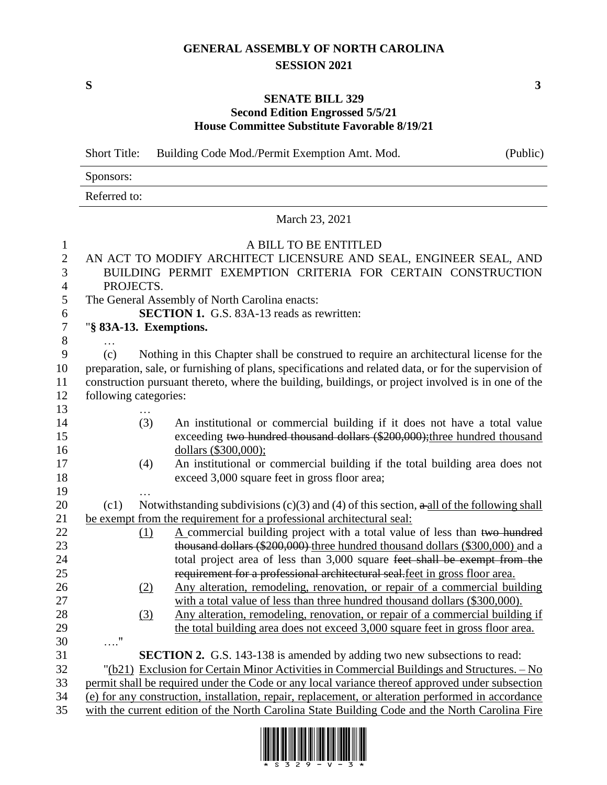## **GENERAL ASSEMBLY OF NORTH CAROLINA SESSION 2021**

**S 3**

## **SENATE BILL 329 Second Edition Engrossed 5/5/21 House Committee Substitute Favorable 8/19/21**

Short Title: Building Code Mod./Permit Exemption Amt. Mod. (Public) Sponsors: Referred to: March 23, 2021 A BILL TO BE ENTITLED AN ACT TO MODIFY ARCHITECT LICENSURE AND SEAL, ENGINEER SEAL, AND BUILDING PERMIT EXEMPTION CRITERIA FOR CERTAIN CONSTRUCTION PROJECTS. The General Assembly of North Carolina enacts: **SECTION 1.** G.S. 83A-13 reads as rewritten: "**§ 83A-13. Exemptions.** … (c) Nothing in this Chapter shall be construed to require an architectural license for the preparation, sale, or furnishing of plans, specifications and related data, or for the supervision of construction pursuant thereto, where the building, buildings, or project involved is in one of the following categories: … (3) An institutional or commercial building if it does not have a total value 15 exceeding two hundred thousand dollars (\$200,000); three hundred thousand dollars (\$300,000); (4) An institutional or commercial building if the total building area does not exceed 3,000 square feet in gross floor area; … 20 (c1) Notwithstanding subdivisions (c)(3) and (4) of this section,  $\frac{1}{2}$  all of the following shall be exempt from the requirement for a professional architectural seal: 22 (1) A commercial building project with a total value of less than two hundred thousand dollars (\$200,000) three hundred thousand dollars (\$300,000) and a total project area of less than 3,000 square feet shall be exempt from the requirement for a professional architectural seal.feet in gross floor area. (2) Any alteration, remodeling, renovation, or repair of a commercial building with a total value of less than three hundred thousand dollars (\$300,000). (3) Any alteration, remodeling, renovation, or repair of a commercial building if the total building area does not exceed 3,000 square feet in gross floor area. …." **SECTION 2.** G.S. 143-138 is amended by adding two new subsections to read: "(b21) Exclusion for Certain Minor Activities in Commercial Buildings and Structures. – No permit shall be required under the Code or any local variance thereof approved under subsection (e) for any construction, installation, repair, replacement, or alteration performed in accordance with the current edition of the North Carolina State Building Code and the North Carolina Fire

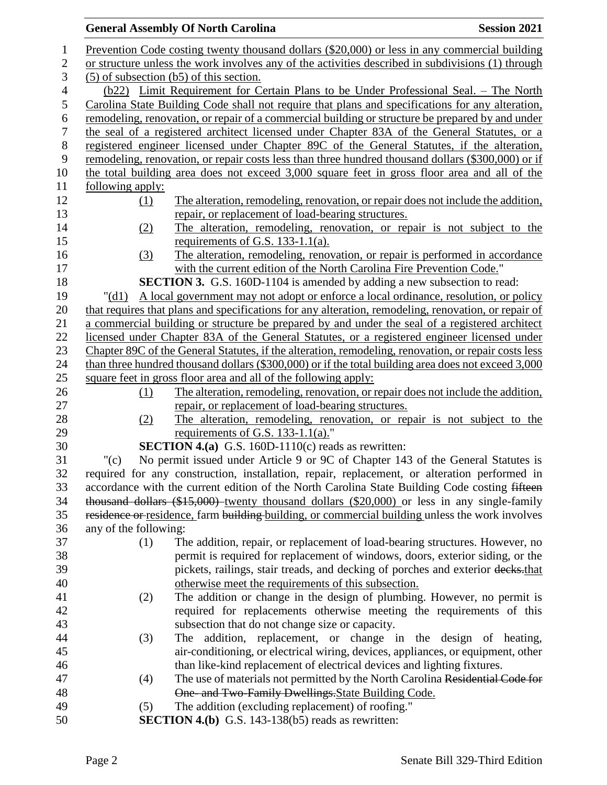## **General Assembly Of North Carolina Session 2021**  Prevention Code costing twenty thousand dollars (\$20,000) or less in any commercial building or structure unless the work involves any of the activities described in subdivisions (1) through (5) of subsection (b5) of this section. (b22) Limit Requirement for Certain Plans to be Under Professional Seal. – The North Carolina State Building Code shall not require that plans and specifications for any alteration, remodeling, renovation, or repair of a commercial building or structure be prepared by and under the seal of a registered architect licensed under Chapter 83A of the General Statutes, or a registered engineer licensed under Chapter 89C of the General Statutes, if the alteration, remodeling, renovation, or repair costs less than three hundred thousand dollars (\$300,000) or if the total building area does not exceed 3,000 square feet in gross floor area and all of the following apply: (1) The alteration, remodeling, renovation, or repair does not include the addition, repair, or replacement of load-bearing structures. (2) The alteration, remodeling, renovation, or repair is not subject to the requirements of G.S. 133-1.1(a). (3) The alteration, remodeling, renovation, or repair is performed in accordance with the current edition of the North Carolina Fire Prevention Code." **SECTION 3.** G.S. 160D-1104 is amended by adding a new subsection to read: "(d1) A local government may not adopt or enforce a local ordinance, resolution, or policy that requires that plans and specifications for any alteration, remodeling, renovation, or repair of a commercial building or structure be prepared by and under the seal of a registered architect licensed under Chapter 83A of the General Statutes, or a registered engineer licensed under Chapter 89C of the General Statutes, if the alteration, remodeling, renovation, or repair costs less than three hundred thousand dollars (\$300,000) or if the total building area does not exceed 3,000 square feet in gross floor area and all of the following apply: (1) The alteration, remodeling, renovation, or repair does not include the addition, repair, or replacement of load-bearing structures. (2) The alteration, remodeling, renovation, or repair is not subject to the 29 requirements of G.S. 133-1.1(a)." **SECTION 4.(a)** G.S. 160D-1110(c) reads as rewritten: "(c) No permit issued under Article 9 or 9C of Chapter 143 of the General Statutes is required for any construction, installation, repair, replacement, or alteration performed in accordance with the current edition of the North Carolina State Building Code costing fifteen thousand dollars (\$15,000) twenty thousand dollars (\$20,000) or less in any single-family 35 residence or residence, farm building building, or commercial building unless the work involves any of the following: (1) The addition, repair, or replacement of load-bearing structures. However, no permit is required for replacement of windows, doors, exterior siding, or the 39 pickets, railings, stair treads, and decking of porches and exterior decks-that otherwise meet the requirements of this subsection. (2) The addition or change in the design of plumbing. However, no permit is required for replacements otherwise meeting the requirements of this subsection that do not change size or capacity. (3) The addition, replacement, or change in the design of heating, air-conditioning, or electrical wiring, devices, appliances, or equipment, other than like-kind replacement of electrical devices and lighting fixtures. (4) The use of materials not permitted by the North Carolina Residential Code for One- and Two-Family Dwellings.State Building Code. (5) The addition (excluding replacement) of roofing." **SECTION 4.(b)** G.S. 143-138(b5) reads as rewritten: